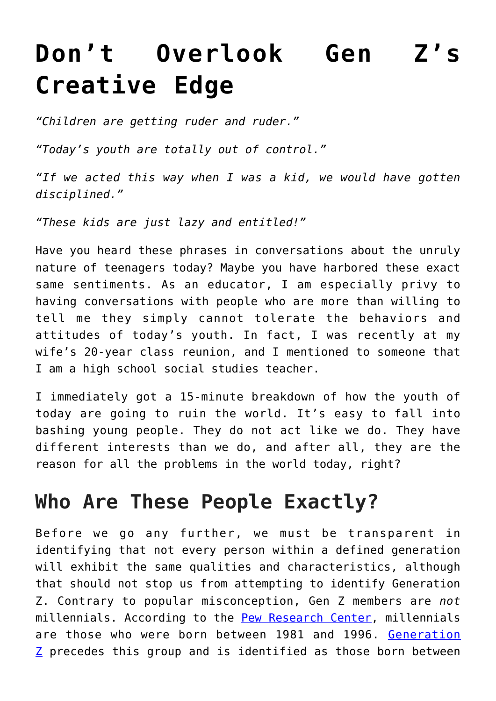# **[Don't Overlook Gen Z's](https://intellectualtakeout.org/2019/07/dont-overlook-gen-zs-creative-edge/) [Creative Edge](https://intellectualtakeout.org/2019/07/dont-overlook-gen-zs-creative-edge/)**

*"Children are getting ruder and ruder."*

*"Today's youth are totally out of control."*

*"If we acted this way when I was a kid, we would have gotten disciplined."*

*"These kids are just lazy and entitled!"*

Have you heard these phrases in conversations about the unruly nature of teenagers today? Maybe you have harbored these exact same sentiments. As an educator, I am especially privy to having conversations with people who are more than willing to tell me they simply cannot tolerate the behaviors and attitudes of today's youth. In fact, I was recently at my wife's 20-year class reunion, and I mentioned to someone that I am a high school social studies teacher.

I immediately got a 15-minute breakdown of how the youth of today are going to ruin the world. It's easy to fall into bashing young people. They do not act like we do. They have different interests than we do, and after all, they are the reason for all the problems in the world today, right?

### **Who Are These People Exactly?**

Before we go any further, we must be transparent in identifying that not every person within a defined generation will exhibit the same qualities and characteristics, although that should not stop us from attempting to identify Generation Z. Contrary to popular misconception, Gen Z members are *not* millennials. According to the [Pew Research Center,](https://www.pewresearch.org/fact-tank/2019/01/17/where-millennials-end-and-generation-z-begins/) millennials are those who were born between 1981 and 1996. [Generation](https://www.mckinsey.com/industries/consumer-packaged-goods/our-insights/true-gen-generation-z-and-its-implications-for-companies)  $Z$  precedes this group and is identified as those born between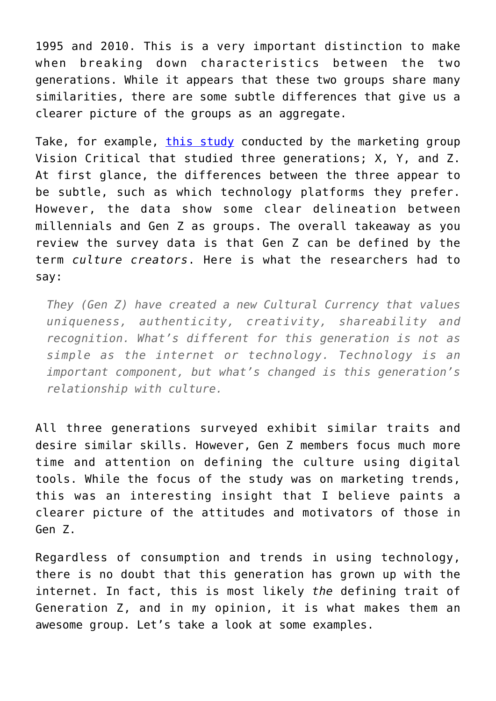1995 and 2010. This is a very important distinction to make when breaking down characteristics between the two generations. While it appears that these two groups share many similarities, there are some subtle differences that give us a clearer picture of the groups as an aggregate.

Take, for example, [this study](https://www.visioncritical.com/blog/generation-z-infographics) conducted by the marketing group Vision Critical that studied three generations; X, Y, and Z. At first glance, the differences between the three appear to be subtle, such as which technology platforms they prefer. However, the data show some clear delineation between millennials and Gen Z as groups. The overall takeaway as you review the survey data is that Gen Z can be defined by the term *culture creators*. Here is what the researchers had to say:

*They (Gen Z) have created a new Cultural Currency that values uniqueness, authenticity, creativity, shareability and recognition. What's different for this generation is not as simple as the internet or technology. Technology is an important component, but what's changed is this generation's relationship with culture.*

All three generations surveyed exhibit similar traits and desire similar skills. However, Gen Z members focus much more time and attention on defining the culture using digital tools. While the focus of the study was on marketing trends, this was an interesting insight that I believe paints a clearer picture of the attitudes and motivators of those in Gen Z.

Regardless of consumption and trends in using technology, there is no doubt that this generation has grown up with the internet. In fact, this is most likely *the* defining trait of Generation Z, and in my opinion, it is what makes them an awesome group. Let's take a look at some examples.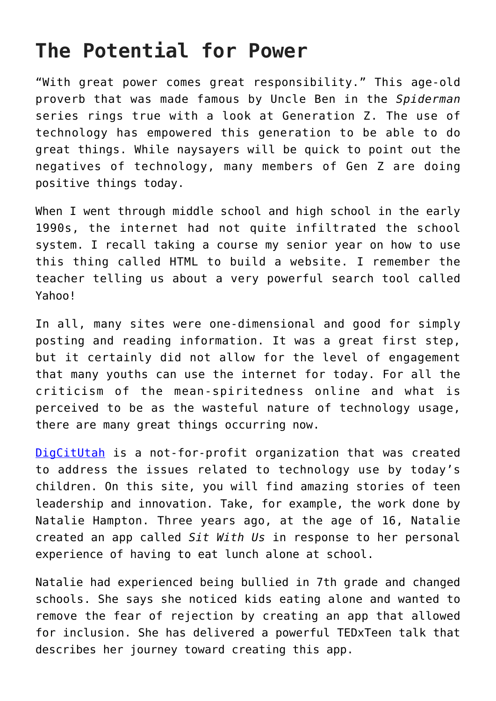## **The Potential for Power**

"With great power comes great responsibility." This age-old proverb that was made famous by Uncle Ben in the *Spiderman* series rings true with a look at Generation Z. The use of technology has empowered this generation to be able to do great things. While naysayers will be quick to point out the negatives of technology, many members of Gen Z are doing positive things today.

When I went through middle school and high school in the early 1990s, the internet had not quite infiltrated the school system. I recall taking a course my senior year on how to use this thing called HTML to build a website. I remember the teacher telling us about a very powerful search tool called Yahoo!

In all, many sites were one-dimensional and good for simply posting and reading information. It was a great first step, but it certainly did not allow for the level of engagement that many youths can use the internet for today. For all the criticism of the mean-spiritedness online and what is perceived to be as the wasteful nature of technology usage, there are many great things occurring now.

[DigCitUtah](https://digcitutah.com/digital-citizenship-kids/) is a not-for-profit organization that was created to address the issues related to technology use by today's children. On this site, you will find amazing stories of teen leadership and innovation. Take, for example, the work done by Natalie Hampton. Three years ago, at the age of 16, Natalie created an app called *Sit With Us* in response to her personal experience of having to eat lunch alone at school.

Natalie had experienced being bullied in 7th grade and changed schools. She says she noticed kids eating alone and wanted to remove the fear of rejection by creating an app that allowed for inclusion. She has delivered a powerful TEDxTeen talk that describes her journey toward creating this app.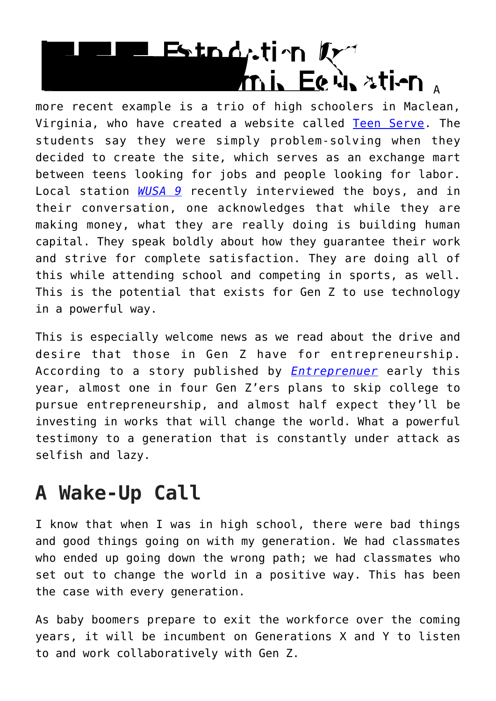# Estnd, tin Kritish a

more recent example is a trio of high schoolers in Maclean, Virginia, who have created a website called [Teen Serve.](https://www.teenserv.com/) The students say they were simply problem-solving when they decided to create the site, which serves as an exchange mart between teens looking for jobs and people looking for labor. Local station *[WUSA 9](https://www.wusa9.com/video/news/local/16-year-old-entrepreneurs-help-create-jobs-for-other-teens/65-fae27013-18d0-497f-8bee-f886b033b4e0)* recently interviewed the boys, and in their conversation, one acknowledges that while they are making money, what they are really doing is building human capital. They speak boldly about how they guarantee their work and strive for complete satisfaction. They are doing all of this while attending school and competing in sports, as well. This is the potential that exists for Gen Z to use technology in a powerful way.

This is especially welcome news as we read about the drive and desire that those in Gen Z have for entrepreneurship. According to a story published by *[Entreprenuer](https://www.entrepreneur.com/article/326354)* early this year, almost one in four Gen Z'ers plans to skip college to pursue entrepreneurship, and almost half expect they'll be investing in works that will change the world. What a powerful testimony to a generation that is constantly under attack as selfish and lazy.

### **A Wake-Up Call**

I know that when I was in high school, there were bad things and good things going on with my generation. We had classmates who ended up going down the wrong path; we had classmates who set out to change the world in a positive way. This has been the case with every generation.

As baby boomers prepare to exit the workforce over the coming years, it will be incumbent on Generations X and Y to listen to and work collaboratively with Gen Z.